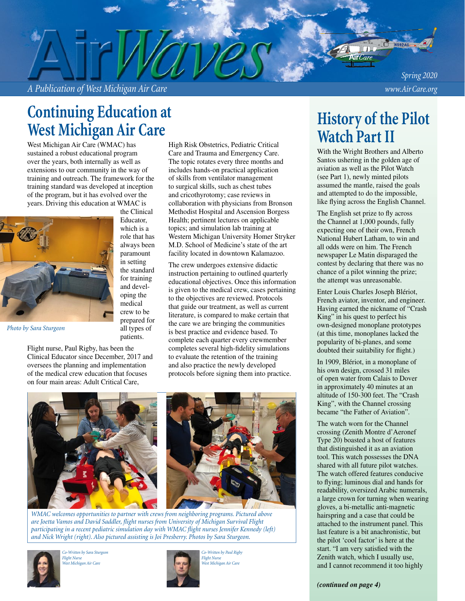# **Continuing Education at West Michigan Air Care**

West Michigan Air Care (WMAC) has sustained a robust educational program over the years, both internally as well as extensions to our community in the way of training and outreach. The framework for the training standard was developed at inception of the program, but it has evolved over the years. Driving this education at WMAC is



the Clinical Educator, which is a role that has always been paramount in setting the standard for training and developing the medical crew to be prepared for all types of patients.

*Photo by Sara Sturgeon*

Flight nurse, Paul Rigby, has been the Clinical Educator since December, 2017 and oversees the planning and implementation of the medical crew education that focuses on four main areas: Adult Critical Care,

High Risk Obstetrics, Pediatric Critical Care and Trauma and Emergency Care. The topic rotates every three months and includes hands-on practical application of skills from ventilator management to surgical skills, such as chest tubes and cricothyrotomy; case reviews in collaboration with physicians from Bronson Methodist Hospital and Ascension Borgess Health; pertinent lectures on applicable topics; and simulation lab training at Western Michigan University Homer Stryker M.D. School of Medicine's state of the art facility located in downtown Kalamazoo.

The crew undergoes extensive didactic instruction pertaining to outlined quarterly educational objectives. Once this information is given to the medical crew, cases pertaining to the objectives are reviewed. Protocols that guide our treatment, as well as current literature, is compared to make certain that the care we are bringing the communities is best practice and evidence based. To complete each quarter every crewmember completes several high-fidelity simulations to evaluate the retention of the training and also practice the newly developed protocols before signing them into practice.





*WMAC welcomes opportunities to partner with crews from neighboring programs. Pictured above are Joetta Vamos and David Saddler, flight nurses from University of Michigan Survival Flight participating in a recent pediatric simulation day with WMAC flight nurses Jennifer Kennedy (left) and Nick Wright (right). Also pictured assisting is Joi Presberry. Photos by Sara Sturgeon.* 



*Co-Written by Sara Sturgeon Flight Nurse West Michigan Air Care*



*Co-Written by Paul Rigby Flight Nurse West Michigan Air Care*

# **History of the Pilot Watch Part II**

With the Wright Brothers and Alberto Santos ushering in the golden age of aviation as well as the Pilot Watch (see Part 1), newly minted pilots assumed the mantle, raised the goals and attempted to do the impossible, like flying across the English Channel.

The English set prize to fly across the Channel at 1,000 pounds, fully expecting one of their own, French National Hubert Latham, to win and all odds were on him. The French newspaper Le Matin disparaged the contest by declaring that there was no chance of a pilot winning the prize; the attempt was unreasonable.

Enter Louis Charles Joseph Blériot, French aviator, inventor, and engineer. Having earned the nickname of "Crash King" in his quest to perfect his own-designed monoplane prototypes (at this time, monoplanes lacked the popularity of bi-planes, and some doubted their suitability for flight.)

In 1909, Blériot, in a monoplane of his own design, crossed 31 miles of open water from Calais to Dover in approximately 40 minutes at an altitude of 150-300 feet. The "Crash King", with the Channel crossing became "the Father of Aviation".

The watch worn for the Channel crossing (Zenith Montre d'Aeronef Type 20) boasted a host of features that distinguished it as an aviation tool. This watch possesses the DNA shared with all future pilot watches. The watch offered features conducive to flying; luminous dial and hands for readability, oversized Arabic numerals, a large crown for turning when wearing gloves, a bi-metallic anti-magnetic hairspring and a case that could be attached to the instrument panel. This last feature is a bit anachronistic, but the pilot 'cool factor' is here at the start. "I am very satisfied with the Zenith watch, which I usually use, and I cannot recommend it too highly

#### *(continued on page 4)*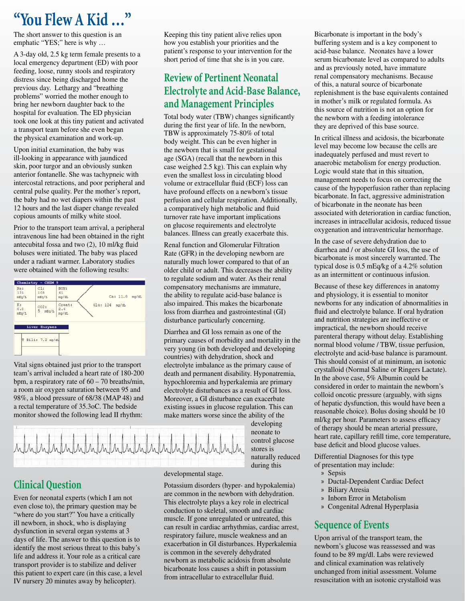# **"You Flew A Kid …"**

The short answer to this question is an emphatic "YES;" here is why …

A 3-day old, 2.5 kg term female presents to a local emergency department (ED) with poor feeding, loose, runny stools and respiratory distress since being discharged home the previous day. Lethargy and "breathing problems" worried the mother enough to bring her newborn daughter back to the hospital for evaluation. The ED physician took one look at this tiny patient and activated a transport team before she even began the physical examination and work-up.

Upon initial examination, the baby was ill-looking in appearance with jaundiced skin, poor turgor and an obviously sunken anterior fontanelle. She was tachypneic with intercostal retractions, and poor peripheral and central pulse quality. Per the mother's report, the baby had no wet diapers within the past 12 hours and the last diaper change revealed copious amounts of milky white stool.

Prior to the transport team arrival, a peripheral intravenous line had been obtained in the right antecubital fossa and two (2), 10 ml/kg fluid boluses were initiated. The baby was placed under a radiant warmer. Laboratory studies were obtained with the following results:



Vital signs obtained just prior to the transport team's arrival included a heart rate of 180-200 bpm, a respiratory rate of 60 – 70 breaths/min, a room air oxygen saturation between 95 and 98%, a blood pressure of 68/38 (MAP 48) and a rectal temperature of 35.3oC. The bedside monitor showed the following lead II rhythm:

Keeping this tiny patient alive relies upon how you establish your priorities and the patient's response to your intervention for the short period of time that she is in you care.

## **Review of Pertinent Neonatal Electrolyte and Acid-Base Balance, and Management Principles**

Total body water (TBW) changes significantly during the first year of life. In the newborn, TBW is approximately 75-80% of total body weight. This can be even higher in the newborn that is small for gestational age (SGA) (recall that the newborn in this case weighed 2.5 kg). This can explain why even the smallest loss in circulating blood volume or extracellular fluid (ECF) loss can have profound effects on a newborn's tissue perfusion and cellular respiration. Additionally, a comparatively high metabolic and fluid turnover rate have important implications on glucose requirements and electrolyte balances. Illness can greatly exacerbate this.

Renal function and Glomerular Filtration Rate (GFR) in the developing newborn are naturally much lower compared to that of an older child or adult. This decreases the ability to regulate sodium and water. As their renal compensatory mechanisms are immature, the ability to regulate acid-base balance is also impaired. This makes the bicarbonate loss from diarrhea and gastrointestinal (GI) disturbance particularly concerning.

Diarrhea and GI loss remain as one of the primary causes of morbidity and mortality in the very young (in both developed and developing countries) with dehydration, shock and electrolyte imbalance as the primary cause of death and permanent disability. Hyponatremia, hypochloremia and hyperkalemia are primary electrolyte disturbances as a result of GI loss. Moreover, a GI disturbance can exacerbate existing issues in glucose regulation. This can make matters worse since the ability of the

developing neonate to control glucose stores is naturally reduced during this

# ndundundundundundundun

**Clinical Question**

Even for neonatal experts (which I am not even close to), the primary question may be "where do you start?" You have a critically ill newborn, in shock, who is displaying dysfunction in several organ systems at 3 days of life. The answer to this question is to identify the most serious threat to this baby's life and address it. Your role as a critical care transport provider is to stabilize and deliver this patient to expert care (in this case, a level IV nursery 20 minutes away by helicopter).

#### developmental stage.

Potassium disorders (hyper- and hypokalemia) are common in the newborn with dehydration. This electrolyte plays a key role in electrical conduction to skeletal, smooth and cardiac muscle. If gone unregulated or untreated, this can result in cardiac arrhythmias, cardiac arrest, respiratory failure, muscle weakness and an exacerbation in GI disturbances. Hyperkalemia is common in the severely dehydrated newborn as metabolic acidosis from absolute bicarbonate loss causes a shift in potassium from intracellular to extracellular fluid.

Bicarbonate is important in the body's buffering system and is a key component to acid-base balance. Neonates have a lower serum bicarbonate level as compared to adults and as previously noted, have immature renal compensatory mechanisms. Because of this, a natural source of bicarbonate replenishment is the base equivalents contained in mother's milk or regulated formula. As this source of nutrition is not an option for the newborn with a feeding intolerance they are deprived of this base source.

In critical illness and acidosis, the bicarbonate level may become low because the cells are inadequately perfused and must revert to anaerobic metabolism for energy production. Logic would state that in this situation, management needs to focus on correcting the cause of the hypoperfusion rather than replacing bicarbonate. In fact, aggressive administration of bicarbonate in the neonate has been associated with deterioration in cardiac function, increases in intracellular acidosis, reduced tissue oxygenation and intraventricular hemorrhage.

In the case of severe dehydration due to diarrhea and / or absolute GI loss, the use of bicarbonate is most sincerely warranted. The typical dose is 0.5 mEq/kg of a 4.2% solution as an intermittent or continuous infusion.

Because of these key differences in anatomy and physiology, it is essential to monitor newborns for any indication of abnormalities in fluid and electrolyte balance. If oral hydration and nutrition strategies are ineffective or impractical, the newborn should receive parenteral therapy without delay. Establishing normal blood volume / TBW, tissue perfusion, electrolyte and acid-base balance is paramount. This should consist of at minimum, an isotonic crystalloid (Normal Saline or Ringers Lactate). In the above case, 5% Albumin could be considered in order to maintain the newborn's colloid oncotic pressure (arguably, with signs of hepatic dysfunction, this would have been a reasonable choice). Bolus dosing should be 10 ml/kg per hour. Parameters to assess efficacy of therapy should be mean arterial pressure, heart rate, capillary refill time, core temperature, base deficit and blood glucose values.

Differential Diagnoses for this type of presentation may include:

- » Sepsis
- » Ductal-Dependent Cardiac Defect
- » Biliary Atresia
- » Inborn Error in Metabolism
- » Congenital Adrenal Hyperplasia

## **Sequence of Events**

Upon arrival of the transport team, the newborn's glucose was reassessed and was found to be 89 mg/dl. Labs were reviewed and clinical examination was relatively unchanged from initial assessment. Volume resuscitation with an isotonic crystalloid was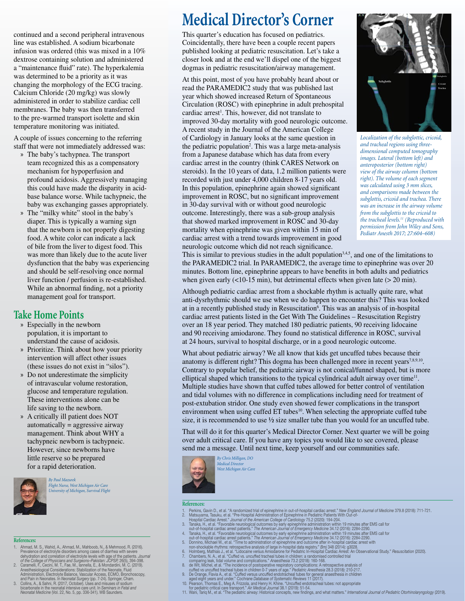continued and a second peripheral intravenous line was established. A sodium bicarbonate infusion was ordered (this was mixed in a 10% dextrose containing solution and administered a "maintenance fluid" rate). The hyperkalemia was determined to be a priority as it was changing the morphology of the ECG tracing. Calcium Chloride (20 mg/kg) was slowly administered in order to stabilize cardiac cell membranes. The baby was then transferred to the pre-warmed transport isolette and skin temperature monitoring was initiated.

A couple of issues concerning to the referring staff that were not immediately addressed was:

- » The baby's tachypnea. The transport team recognized this as a compensatory mechanism for hypoperfusion and profound acidosis. Aggressively managing this could have made the disparity in acidbase balance worse. While tachypneic, the baby was exchanging gasses appropriately.
- » The "milky white" stool in the baby's diaper. This is typically a warning sign that the newborn is not properly digesting food. A white color can indicate a lack of bile from the liver to digest food. This was more than likely due to the acute liver dysfunction that the baby was experiencing and should be self-resolving once normal liver function / perfusion is re-established. While an abnormal finding, not a priority management goal for transport.

#### **Take Home Points**

- » Especially in the newborn population, it is important to understand the cause of acidosis.
- » Prioritize. Think about how your priority intervention will affect other issues (these issues do not exist in "silos").
- » Do not underestimate the simplicity of intravascular volume restoration, glucose and temperature regulation. These interventions alone can be life saving to the newborn.
- » A critically ill patient does NOT automatically = aggressive airway management. Think about WHY a tachypneic newborn is tachypneic. However, since newborns have little reserve so be prepared for a rapid deterioration.



*By Paul Mazurek Flight Nurse, West Michigan Air Care University of Michigan, Survival Flight*

#### **References:**

- Ahmad, M. S., Wahid, A., Ahmad, M., Mahboob, N., & Mehmood, R. (2016). Prevalence of electrolyte disorders among cases of diarmea with severe<br>delydration and correlation of electrolyte levels with age of the patients. Journal<br>of the College of Physicians and Surgeons-Pakistan: JCPSP, 26(5), 3
- 
- Anemesion consterations: Stabilization of the Neonate, Fluid<br>Administration, Electrolyte Balance, Vascular Access, ECMO, Bronchoscopy,<br>and Pain in Neonates. In Neonatal Surgery (pp. 7-24). Springer, Cham.<br>3. Collins, A., &

# **Medical Director's Corner**

This quarter's education has focused on pediatrics. Coincidentally, there have been a couple recent papers published looking at pediatric resuscitation. Let's take a closer look and at the end we'll dispel one of the biggest dogmas in pediatric resuscitation/airway management.

At this point, most of you have probably heard about or read the PARAMEDIC2 study that was published last year which showed increased Return of Spontaneous Circulation (ROSC) with epinephrine in adult prehospital cardiac arrest<sup>1</sup>. This, however, did not translate to improved 30-day mortality with good neurologic outcome. A recent study in the Journal of the American College of Cardiology in January looks at the same question in the pediatric population<sup>2</sup>. This was a large meta-analysis from a Japanese database which has data from every cardiac arrest in the country (think CARES Network on steroids). In the 10 years of data, 1.2 million patients were recorded with just under 4,000 children 8-17 years old. In this population, epinephrine again showed significant improvement in ROSC, but no significant improvement in 30-day survival with or without good neurologic outcome. Interestingly, there was a sub-group analysis that showed marked improvement in ROSC and 30-day mortality when epinephrine was given within 15 min of cardiac arrest with a trend towards improvement in good neurologic outcome which did not reach significance.



*Localization of the subglottic, cricoid, and tracheal regions using threedimensional computed tomography images. Lateral (bottom left) and anteroposterior (bottom right) view of the airway column (bottom right). The volume of each segment was calculated using 3 mm slices, and comparisons made between the subglottis, cricoid and trachea. There was an increase in the airway volume from the subglottis to the cricoid to the tracheal levels.11 (Reproduced with permission from John Wiley and Sons, Pediatr Anesth 2017; 27:604–608)*

This is similar to previous studies in the adult population<sup>3,4,5</sup>, and one of the limitations to the PARAMEDIC2 trial. In PARAMEDIC2, the average time to epinephrine was over 20 minutes. Bottom line, epinephrine appears to have benefits in both adults and pediatrics when given early  $(10-15 \text{ min})$ , but detrimental effects when given late  $(> 20 \text{ min})$ .

Although pediatric cardiac arrest from a shockable rhythm is actually quite rare, what anti-dysrhythmic should we use when we do happen to encounter this? This was looked at in a recently published study in Resuscitation<sup>6</sup>. This was an analysis of in-hospital cardiac arrest patients listed in the Get With The Guidelines – Resuscitation Registry over an 18 year period. They matched 180 pediatric patients, 90 receiving lidocaine and 90 receiving amiodarone. They found no statistical difference in ROSC, survival at 24 hours, survival to hospital discharge, or in a good neurologic outcome.

What about pediatric airway? We all know that kids get uncuffed tubes because their anatomy is different right? This dogma has been challenged more in recent years<sup>7,8,9,10</sup>. Contrary to popular belief, the pediatric airway is not conical/funnel shaped, but is more elliptical shaped which transitions to the typical cylindrical adult airway over time<sup>11</sup>. Multiple studies have shown that cuffed tubes allowed for better control of ventilation and tidal volumes with no difference in complications including need for treatment of post-extubation stridor. One study even showed fewer complications in the transport environment when using cuffed  $ET$  tubes $10$ . When selecting the appropriate cuffed tube size, it is recommended to use  $\frac{1}{2}$  size smaller tube than you would for an uncuffed tube.

That will do it for this quarter's Medical Director Corner. Next quarter we will be going over adult critical care. If you have any topics you would like to see covered, please send me a message. Until next time, keep yourself and our communities safe.



*By Chris Milligan, DO Medical Director West Michigan Air Care*

#### **References:**

- 
- 
- -
- 
- 
- 
- 1. Perkins, Gavin U., et al. "A randomized that of epimephrine in out-of-hospital cardiac arest." New *England Journal of Medicine 3r9.8 (2018): 11-721.*<br>
2. Matsuyama, Tasuku, et al. "Per-Hospital Administration of Epinep
- 
- 
- 
- 
-